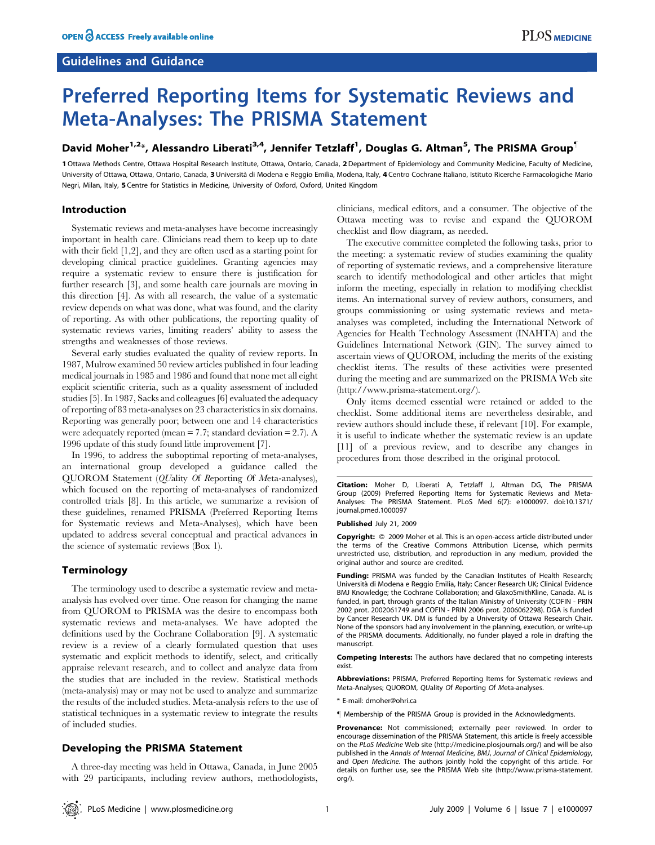# Guidelines and Guidance

# Preferred Reporting Items for Systematic Reviews and Meta-Analyses: The PRISMA Statement

# David Moher<sup>1,2</sup>\*, Alessandro Liberati<sup>3,4</sup>, Jennifer Tetzlaff<sup>1</sup>, Douglas G. Altman<sup>5</sup>, The PRISMA Group<sup>¶</sup>

1 Ottawa Methods Centre, Ottawa Hospital Research Institute, Ottawa, Ontario, Canada, 2 Department of Epidemiology and Community Medicine, Faculty of Medicine, University of Ottawa, Ottawa, Ontario, Canada, 3 Università di Modena e Reggio Emilia, Modena, Italy, 4 Centro Cochrane Italiano, Istituto Ricerche Farmacologiche Mario Negri, Milan, Italy, 5 Centre for Statistics in Medicine, University of Oxford, Oxford, United Kingdom

## Introduction

Systematic reviews and meta-analyses have become increasingly important in health care. Clinicians read them to keep up to date with their field [1,2], and they are often used as a starting point for developing clinical practice guidelines. Granting agencies may require a systematic review to ensure there is justification for further research [3], and some health care journals are moving in this direction [4]. As with all research, the value of a systematic review depends on what was done, what was found, and the clarity of reporting. As with other publications, the reporting quality of systematic reviews varies, limiting readers' ability to assess the strengths and weaknesses of those reviews.

Several early studies evaluated the quality of review reports. In 1987, Mulrow examined 50 review articles published in four leading medical journals in 1985 and 1986 and found that none met all eight explicit scientific criteria, such as a quality assessment of included studies [5]. In 1987, Sacks and colleagues [6] evaluated the adequacy of reporting of 83 meta-analyses on 23 characteristics in six domains. Reporting was generally poor; between one and 14 characteristics were adequately reported (mean  $= 7.7$ ; standard deviation  $= 2.7$ ). A 1996 update of this study found little improvement [7].

In 1996, to address the suboptimal reporting of meta-analyses, an international group developed a guidance called the QUOROM Statement (QUality Of Reporting Of Meta-analyses), which focused on the reporting of meta-analyses of randomized controlled trials [8]. In this article, we summarize a revision of these guidelines, renamed PRISMA (Preferred Reporting Items for Systematic reviews and Meta-Analyses), which have been updated to address several conceptual and practical advances in the science of systematic reviews (Box 1).

## Terminology

The terminology used to describe a systematic review and metaanalysis has evolved over time. One reason for changing the name from QUOROM to PRISMA was the desire to encompass both systematic reviews and meta-analyses. We have adopted the definitions used by the Cochrane Collaboration [9]. A systematic review is a review of a clearly formulated question that uses systematic and explicit methods to identify, select, and critically appraise relevant research, and to collect and analyze data from the studies that are included in the review. Statistical methods (meta-analysis) may or may not be used to analyze and summarize the results of the included studies. Meta-analysis refers to the use of statistical techniques in a systematic review to integrate the results of included studies.

## Developing the PRISMA Statement

A three-day meeting was held in Ottawa, Canada, in June 2005 with 29 participants, including review authors, methodologists,

clinicians, medical editors, and a consumer. The objective of the Ottawa meeting was to revise and expand the QUOROM checklist and flow diagram, as needed.

The executive committee completed the following tasks, prior to the meeting: a systematic review of studies examining the quality of reporting of systematic reviews, and a comprehensive literature search to identify methodological and other articles that might inform the meeting, especially in relation to modifying checklist items. An international survey of review authors, consumers, and groups commissioning or using systematic reviews and metaanalyses was completed, including the International Network of Agencies for Health Technology Assessment (INAHTA) and the Guidelines International Network (GIN). The survey aimed to ascertain views of QUOROM, including the merits of the existing checklist items. The results of these activities were presented during the meeting and are summarized on the PRISMA Web site (http://www.prisma-statement.org/).

Only items deemed essential were retained or added to the checklist. Some additional items are nevertheless desirable, and review authors should include these, if relevant [10]. For example, it is useful to indicate whether the systematic review is an update [11] of a previous review, and to describe any changes in procedures from those described in the original protocol.

Citation: Moher D, Liberati A, Tetzlaff J, Altman DG, The PRISMA Group (2009) Preferred Reporting Items for Systematic Reviews and Meta-Analyses: The PRISMA Statement. PLoS Med 6(7): e1000097. doi:10.1371/ journal.pmed.1000097

#### Published July 21, 2009

Copyright: © 2009 Moher et al. This is an open-access article distributed under the terms of the Creative Commons Attribution License, which permits unrestricted use, distribution, and reproduction in any medium, provided the original author and source are credited.

**Funding: PRISMA** was funded by the Canadian Institutes of Health Research: Universita` di Modena e Reggio Emilia, Italy; Cancer Research UK; Clinical Evidence BMJ Knowledge; the Cochrane Collaboration; and GlaxoSmithKline, Canada. AL is funded, in part, through grants of the Italian Ministry of University (COFIN - PRIN 2002 prot. 2002061749 and COFIN - PRIN 2006 prot. 2006062298). DGA is funded by Cancer Research UK. DM is funded by a University of Ottawa Research Chair. None of the sponsors had any involvement in the planning, execution, or write-up of the PRISMA documents. Additionally, no funder played a role in drafting the manuscript.

Competing Interests: The authors have declared that no competing interests exist.

Abbreviations: PRISMA, Preferred Reporting Items for Systematic reviews and Meta-Analyses; QUOROM, QUality Of Reporting Of Meta-analyses.

\* E-mail: dmoher@ohri.ca

" Membership of the PRISMA Group is provided in the Acknowledgments.

Provenance: Not commissioned; externally peer reviewed. In order to encourage dissemination of the PRISMA Statement, this article is freely accessible on the PLoS Medicine Web site (http://medicine.plosjournals.org/) and will be also published in the Annals of Internal Medicine, BMJ, Journal of Clinical Epidemiology, and Open Medicine. The authors jointly hold the copyright of this article. For details on further use, see the PRISMA Web site (http://www.prisma-statement. org/).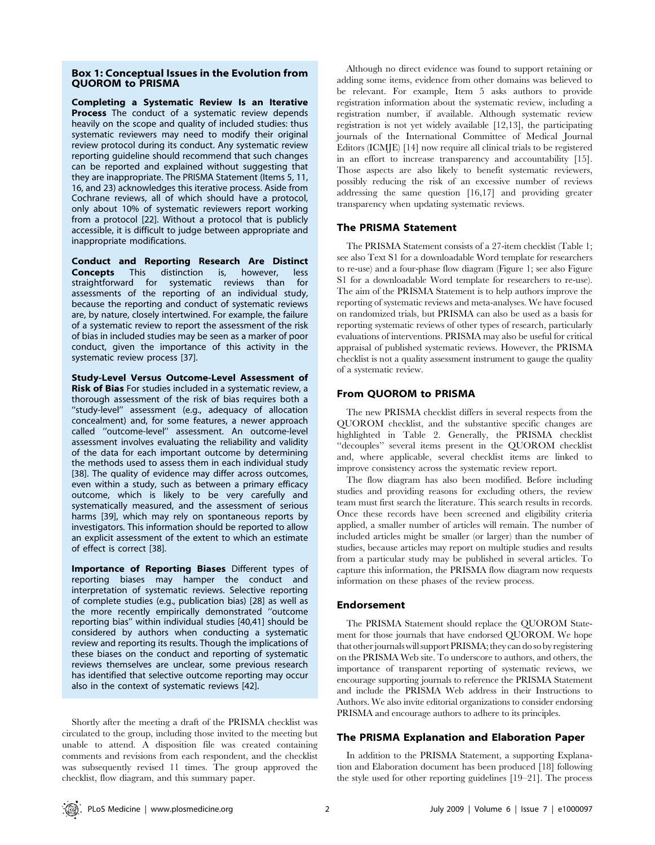#### Box 1: Conceptual Issues in the Evolution from QUOROM to PRISMA

Completing a Systematic Review Is an Iterative **Process** The conduct of a systematic review depends heavily on the scope and quality of included studies: thus systematic reviewers may need to modify their original review protocol during its conduct. Any systematic review reporting guideline should recommend that such changes can be reported and explained without suggesting that they are inappropriate. The PRISMA Statement (Items 5, 11, 16, and 23) acknowledges this iterative process. Aside from Cochrane reviews, all of which should have a protocol, only about 10% of systematic reviewers report working from a protocol [22]. Without a protocol that is publicly accessible, it is difficult to judge between appropriate and inappropriate modifications.

Conduct and Reporting Research Are Distinct **Concepts** This distinction is, however, less straightforward for systematic reviews than for assessments of the reporting of an individual study, because the reporting and conduct of systematic reviews are, by nature, closely intertwined. For example, the failure of a systematic review to report the assessment of the risk of bias in included studies may be seen as a marker of poor conduct, given the importance of this activity in the systematic review process [37].

Study-Level Versus Outcome-Level Assessment of Risk of Bias For studies included in a systematic review, a thorough assessment of the risk of bias requires both a ''study-level'' assessment (e.g., adequacy of allocation concealment) and, for some features, a newer approach called ''outcome-level'' assessment. An outcome-level assessment involves evaluating the reliability and validity of the data for each important outcome by determining the methods used to assess them in each individual study [38]. The quality of evidence may differ across outcomes, even within a study, such as between a primary efficacy outcome, which is likely to be very carefully and systematically measured, and the assessment of serious harms [39], which may rely on spontaneous reports by investigators. This information should be reported to allow an explicit assessment of the extent to which an estimate of effect is correct [38].

Importance of Reporting Biases Different types of reporting biases may hamper the conduct and interpretation of systematic reviews. Selective reporting of complete studies (e.g., publication bias) [28] as well as the more recently empirically demonstrated ''outcome reporting bias'' within individual studies [40,41] should be considered by authors when conducting a systematic review and reporting its results. Though the implications of these biases on the conduct and reporting of systematic reviews themselves are unclear, some previous research has identified that selective outcome reporting may occur also in the context of systematic reviews [42].

Shortly after the meeting a draft of the PRISMA checklist was circulated to the group, including those invited to the meeting but unable to attend. A disposition file was created containing comments and revisions from each respondent, and the checklist was subsequently revised 11 times. The group approved the checklist, flow diagram, and this summary paper.

Although no direct evidence was found to support retaining or adding some items, evidence from other domains was believed to be relevant. For example, Item 5 asks authors to provide registration information about the systematic review, including a registration number, if available. Although systematic review registration is not yet widely available [12,13], the participating journals of the International Committee of Medical Journal Editors (ICMJE) [14] now require all clinical trials to be registered in an effort to increase transparency and accountability [15]. Those aspects are also likely to benefit systematic reviewers, possibly reducing the risk of an excessive number of reviews addressing the same question [16,17] and providing greater transparency when updating systematic reviews.

#### The PRISMA Statement

The PRISMA Statement consists of a 27-item checklist (Table 1; see also Text S1 for a downloadable Word template for researchers to re-use) and a four-phase flow diagram (Figure 1; see also Figure S1 for a downloadable Word template for researchers to re-use). The aim of the PRISMA Statement is to help authors improve the reporting of systematic reviews and meta-analyses. We have focused on randomized trials, but PRISMA can also be used as a basis for reporting systematic reviews of other types of research, particularly evaluations of interventions. PRISMA may also be useful for critical appraisal of published systematic reviews. However, the PRISMA checklist is not a quality assessment instrument to gauge the quality of a systematic review.

#### From QUOROM to PRISMA

The new PRISMA checklist differs in several respects from the QUOROM checklist, and the substantive specific changes are highlighted in Table 2. Generally, the PRISMA checklist ''decouples'' several items present in the QUOROM checklist and, where applicable, several checklist items are linked to improve consistency across the systematic review report.

The flow diagram has also been modified. Before including studies and providing reasons for excluding others, the review team must first search the literature. This search results in records. Once these records have been screened and eligibility criteria applied, a smaller number of articles will remain. The number of included articles might be smaller (or larger) than the number of studies, because articles may report on multiple studies and results from a particular study may be published in several articles. To capture this information, the PRISMA flow diagram now requests information on these phases of the review process.

#### Endorsement

The PRISMA Statement should replace the QUOROM Statement for those journals that have endorsed QUOROM. We hope that other journalswill support PRISMA;they can do so by registering on the PRISMA Web site. To underscore to authors, and others, the importance of transparent reporting of systematic reviews, we encourage supporting journals to reference the PRISMA Statement and include the PRISMA Web address in their Instructions to Authors. We also invite editorial organizations to consider endorsing PRISMA and encourage authors to adhere to its principles.

#### The PRISMA Explanation and Elaboration Paper

In addition to the PRISMA Statement, a supporting Explanation and Elaboration document has been produced [18] following the style used for other reporting guidelines [19–21]. The process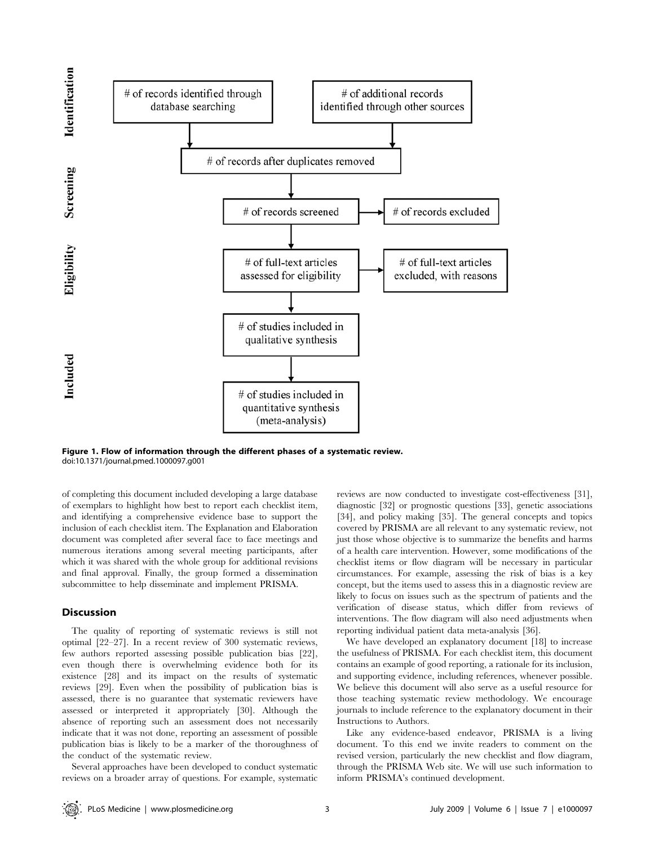

Figure 1. Flow of information through the different phases of a systematic review. doi:10.1371/journal.pmed.1000097.g001

of completing this document included developing a large database of exemplars to highlight how best to report each checklist item, and identifying a comprehensive evidence base to support the inclusion of each checklist item. The Explanation and Elaboration document was completed after several face to face meetings and numerous iterations among several meeting participants, after which it was shared with the whole group for additional revisions and final approval. Finally, the group formed a dissemination subcommittee to help disseminate and implement PRISMA.

#### Discussion

The quality of reporting of systematic reviews is still not optimal [22–27]. In a recent review of 300 systematic reviews, few authors reported assessing possible publication bias [22], even though there is overwhelming evidence both for its existence [28] and its impact on the results of systematic reviews [29]. Even when the possibility of publication bias is assessed, there is no guarantee that systematic reviewers have assessed or interpreted it appropriately [30]. Although the absence of reporting such an assessment does not necessarily indicate that it was not done, reporting an assessment of possible publication bias is likely to be a marker of the thoroughness of the conduct of the systematic review.

Several approaches have been developed to conduct systematic reviews on a broader array of questions. For example, systematic reviews are now conducted to investigate cost-effectiveness [31], diagnostic [32] or prognostic questions [33], genetic associations [34], and policy making [35]. The general concepts and topics covered by PRISMA are all relevant to any systematic review, not just those whose objective is to summarize the benefits and harms of a health care intervention. However, some modifications of the checklist items or flow diagram will be necessary in particular circumstances. For example, assessing the risk of bias is a key concept, but the items used to assess this in a diagnostic review are likely to focus on issues such as the spectrum of patients and the verification of disease status, which differ from reviews of interventions. The flow diagram will also need adjustments when reporting individual patient data meta-analysis [36].

We have developed an explanatory document [18] to increase the usefulness of PRISMA. For each checklist item, this document contains an example of good reporting, a rationale for its inclusion, and supporting evidence, including references, whenever possible. We believe this document will also serve as a useful resource for those teaching systematic review methodology. We encourage journals to include reference to the explanatory document in their Instructions to Authors.

Like any evidence-based endeavor, PRISMA is a living document. To this end we invite readers to comment on the revised version, particularly the new checklist and flow diagram, through the PRISMA Web site. We will use such information to inform PRISMA's continued development.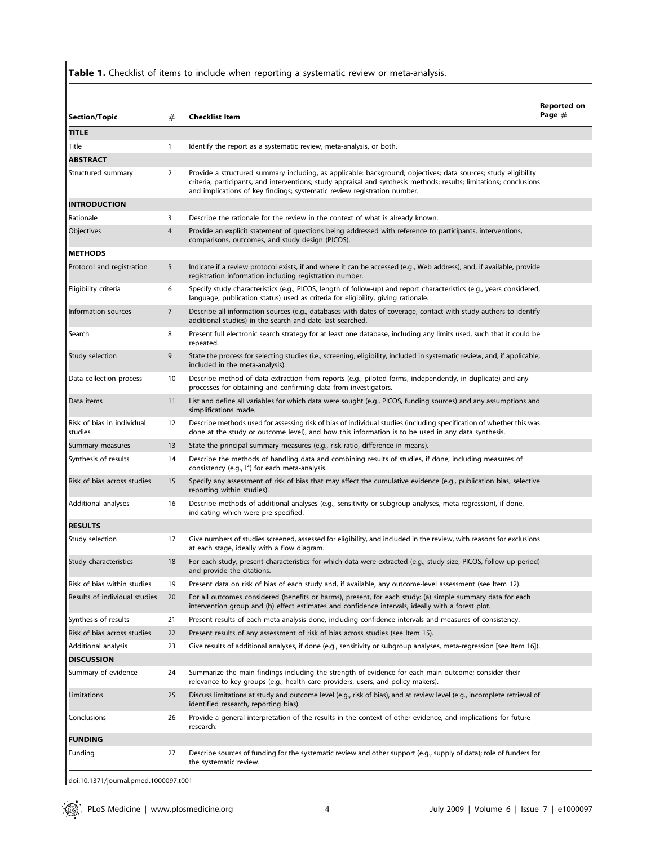Table 1. Checklist of items to include when reporting a systematic review or meta-analysis.

| <b>Section/Topic</b>                  | #              | <b>Checklist Item</b>                                                                                                                                                                                                                                                                                             | <b>Reported on</b><br>Page $#$ |
|---------------------------------------|----------------|-------------------------------------------------------------------------------------------------------------------------------------------------------------------------------------------------------------------------------------------------------------------------------------------------------------------|--------------------------------|
| <b>TITLE</b>                          |                |                                                                                                                                                                                                                                                                                                                   |                                |
| Title                                 | 1              | Identify the report as a systematic review, meta-analysis, or both.                                                                                                                                                                                                                                               |                                |
| <b>ABSTRACT</b>                       |                |                                                                                                                                                                                                                                                                                                                   |                                |
| Structured summary                    | 2              | Provide a structured summary including, as applicable: background; objectives; data sources; study eligibility<br>criteria, participants, and interventions; study appraisal and synthesis methods; results; limitations; conclusions<br>and implications of key findings; systematic review registration number. |                                |
| <b>INTRODUCTION</b>                   |                |                                                                                                                                                                                                                                                                                                                   |                                |
| Rationale                             | 3              | Describe the rationale for the review in the context of what is already known.                                                                                                                                                                                                                                    |                                |
| Objectives                            | 4              | Provide an explicit statement of questions being addressed with reference to participants, interventions,<br>comparisons, outcomes, and study design (PICOS).                                                                                                                                                     |                                |
| <b>METHODS</b>                        |                |                                                                                                                                                                                                                                                                                                                   |                                |
| Protocol and registration             | 5              | Indicate if a review protocol exists, if and where it can be accessed (e.g., Web address), and, if available, provide<br>registration information including registration number.                                                                                                                                  |                                |
| Eligibility criteria                  | 6              | Specify study characteristics (e.g., PICOS, length of follow-up) and report characteristics (e.g., years considered,<br>language, publication status) used as criteria for eligibility, giving rationale.                                                                                                         |                                |
| Information sources                   | $\overline{7}$ | Describe all information sources (e.g., databases with dates of coverage, contact with study authors to identify<br>additional studies) in the search and date last searched.                                                                                                                                     |                                |
| Search                                | 8              | Present full electronic search strategy for at least one database, including any limits used, such that it could be<br>repeated.                                                                                                                                                                                  |                                |
| Study selection                       | 9              | State the process for selecting studies (i.e., screening, eligibility, included in systematic review, and, if applicable,<br>included in the meta-analysis).                                                                                                                                                      |                                |
| Data collection process               | 10             | Describe method of data extraction from reports (e.g., piloted forms, independently, in duplicate) and any<br>processes for obtaining and confirming data from investigators.                                                                                                                                     |                                |
| Data items                            | 11             | List and define all variables for which data were sought (e.g., PICOS, funding sources) and any assumptions and<br>simplifications made.                                                                                                                                                                          |                                |
| Risk of bias in individual<br>studies | 12             | Describe methods used for assessing risk of bias of individual studies (including specification of whether this was<br>done at the study or outcome level), and how this information is to be used in any data synthesis.                                                                                         |                                |
| Summary measures                      | 13             | State the principal summary measures (e.g., risk ratio, difference in means).                                                                                                                                                                                                                                     |                                |
| Synthesis of results                  | 14             | Describe the methods of handling data and combining results of studies, if done, including measures of<br>consistency (e.g., $I^2$ ) for each meta-analysis.                                                                                                                                                      |                                |
| Risk of bias across studies           | 15             | Specify any assessment of risk of bias that may affect the cumulative evidence (e.g., publication bias, selective<br>reporting within studies).                                                                                                                                                                   |                                |
| Additional analyses                   | 16             | Describe methods of additional analyses (e.g., sensitivity or subgroup analyses, meta-regression), if done,<br>indicating which were pre-specified.                                                                                                                                                               |                                |
| <b>RESULTS</b>                        |                |                                                                                                                                                                                                                                                                                                                   |                                |
| Study selection                       | 17             | Give numbers of studies screened, assessed for eligibility, and included in the review, with reasons for exclusions<br>at each stage, ideally with a flow diagram.                                                                                                                                                |                                |
| Study characteristics                 | 18             | For each study, present characteristics for which data were extracted (e.g., study size, PICOS, follow-up period)<br>and provide the citations.                                                                                                                                                                   |                                |
| Risk of bias within studies           | 19             | Present data on risk of bias of each study and, if available, any outcome-level assessment (see Item 12).                                                                                                                                                                                                         |                                |
| Results of individual studies         | 20             | For all outcomes considered (benefits or harms), present, for each study: (a) simple summary data for each<br>intervention group and (b) effect estimates and confidence intervals, ideally with a forest plot.                                                                                                   |                                |
| Synthesis of results                  | 21             | Present results of each meta-analysis done, including confidence intervals and measures of consistency.                                                                                                                                                                                                           |                                |
| Risk of bias across studies           | 22             | Present results of any assessment of risk of bias across studies (see Item 15).                                                                                                                                                                                                                                   |                                |
| Additional analysis                   | 23             | Give results of additional analyses, if done (e.g., sensitivity or subgroup analyses, meta-regression [see Item 16]).                                                                                                                                                                                             |                                |
| <b>DISCUSSION</b>                     |                |                                                                                                                                                                                                                                                                                                                   |                                |
| Summary of evidence                   | 24             | Summarize the main findings including the strength of evidence for each main outcome; consider their<br>relevance to key groups (e.g., health care providers, users, and policy makers).                                                                                                                          |                                |
| Limitations                           | 25             | Discuss limitations at study and outcome level (e.g., risk of bias), and at review level (e.g., incomplete retrieval of<br>identified research, reporting bias).                                                                                                                                                  |                                |
| Conclusions                           | 26             | Provide a general interpretation of the results in the context of other evidence, and implications for future<br>research.                                                                                                                                                                                        |                                |
| <b>FUNDING</b>                        |                |                                                                                                                                                                                                                                                                                                                   |                                |
| Funding                               | 27             | Describe sources of funding for the systematic review and other support (e.g., supply of data); role of funders for<br>the systematic review.                                                                                                                                                                     |                                |

doi:10.1371/journal.pmed.1000097.t001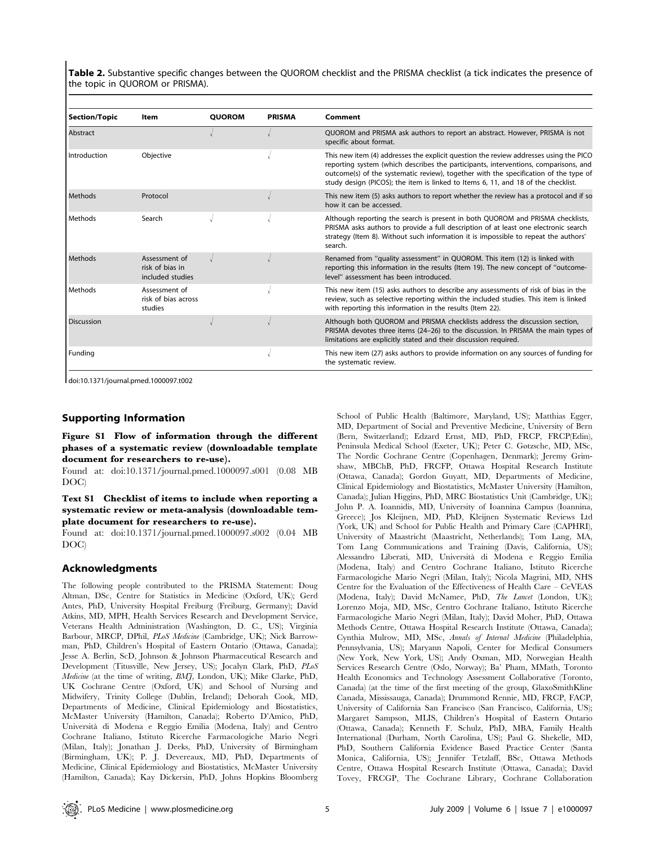Table 2. Substantive specific changes between the QUOROM checklist and the PRISMA checklist (a tick indicates the presence of the topic in QUOROM or PRISMA).

| <b>Section/Topic</b> | Item                                                 | <b>QUOROM</b> | <b>PRISMA</b> | Comment                                                                                                                                                                                                                                                                                                                                                   |
|----------------------|------------------------------------------------------|---------------|---------------|-----------------------------------------------------------------------------------------------------------------------------------------------------------------------------------------------------------------------------------------------------------------------------------------------------------------------------------------------------------|
| Abstract             |                                                      |               |               | QUOROM and PRISMA ask authors to report an abstract. However, PRISMA is not<br>specific about format.                                                                                                                                                                                                                                                     |
| <b>Introduction</b>  | Objective                                            |               |               | This new item (4) addresses the explicit question the review addresses using the PICO<br>reporting system (which describes the participants, interventions, comparisons, and<br>outcome(s) of the systematic review), together with the specification of the type of<br>study design (PICOS); the item is linked to Items 6, 11, and 18 of the checklist. |
| <b>Methods</b>       | Protocol                                             |               |               | This new item (5) asks authors to report whether the review has a protocol and if so<br>how it can be accessed.                                                                                                                                                                                                                                           |
| <b>Methods</b>       | Search                                               |               |               | Although reporting the search is present in both QUOROM and PRISMA checklists,<br>PRISMA asks authors to provide a full description of at least one electronic search<br>strategy (Item 8). Without such information it is impossible to repeat the authors'<br>search.                                                                                   |
| <b>Methods</b>       | Assessment of<br>risk of bias in<br>included studies |               |               | Renamed from "quality assessment" in QUOROM. This item (12) is linked with<br>reporting this information in the results (Item 19). The new concept of "outcome-<br>level" assessment has been introduced.                                                                                                                                                 |
| Methods              | Assessment of<br>risk of bias across<br>studies      |               |               | This new item (15) asks authors to describe any assessments of risk of bias in the<br>review, such as selective reporting within the included studies. This item is linked<br>with reporting this information in the results (Item 22).                                                                                                                   |
| <b>Discussion</b>    |                                                      |               |               | Although both QUOROM and PRISMA checklists address the discussion section,<br>PRISMA devotes three items (24-26) to the discussion. In PRISMA the main types of<br>limitations are explicitly stated and their discussion required.                                                                                                                       |
| Funding              |                                                      |               |               | This new item (27) asks authors to provide information on any sources of funding for<br>the systematic review.                                                                                                                                                                                                                                            |

doi:10.1371/journal.pmed.1000097.t002

#### Supporting Information

Figure S1 Flow of information through the different phases of a systematic review (downloadable template document for researchers to re-use).

Found at: doi:10.1371/journal.pmed.1000097.s001 (0.08 MB DOC)

#### Text S1 Checklist of items to include when reporting a systematic review or meta-analysis (downloadable template document for researchers to re-use).

Found at: doi:10.1371/journal.pmed.1000097.s002 (0.04 MB DOC)

#### Acknowledgments

The following people contributed to the PRISMA Statement: Doug Altman, DSc, Centre for Statistics in Medicine (Oxford, UK); Gerd Antes, PhD, University Hospital Freiburg (Freiburg, Germany); David Atkins, MD, MPH, Health Services Research and Development Service, Veterans Health Administration (Washington, D. C., US); Virginia Barbour, MRCP, DPhil, PLoS Medicine (Cambridge, UK); Nick Barrowman, PhD, Children's Hospital of Eastern Ontario (Ottawa, Canada); Jesse A. Berlin, ScD, Johnson & Johnson Pharmaceutical Research and Development (Titusville, New Jersey, US); Jocalyn Clark, PhD, PLoS Medicine (at the time of writing, BMJ, London, UK); Mike Clarke, PhD, UK Cochrane Centre (Oxford, UK) and School of Nursing and Midwifery, Trinity College (Dublin, Ireland); Deborah Cook, MD, Departments of Medicine, Clinical Epidemiology and Biostatistics, McMaster University (Hamilton, Canada); Roberto D'Amico, PhD, Universita` di Modena e Reggio Emilia (Modena, Italy) and Centro Cochrane Italiano, Istituto Ricerche Farmacologiche Mario Negri (Milan, Italy); Jonathan J. Deeks, PhD, University of Birmingham (Birmingham, UK); P. J. Devereaux, MD, PhD, Departments of Medicine, Clinical Epidemiology and Biostatistics, McMaster University (Hamilton, Canada); Kay Dickersin, PhD, Johns Hopkins Bloomberg

School of Public Health (Baltimore, Maryland, US); Matthias Egger, MD, Department of Social and Preventive Medicine, University of Bern (Bern, Switzerland); Edzard Ernst, MD, PhD, FRCP, FRCP(Edin), Peninsula Medical School (Exeter, UK); Peter C. Gøtzsche, MD, MSc, The Nordic Cochrane Centre (Copenhagen, Denmark); Jeremy Grimshaw, MBChB, PhD, FRCFP, Ottawa Hospital Research Institute (Ottawa, Canada); Gordon Guyatt, MD, Departments of Medicine, Clinical Epidemiology and Biostatistics, McMaster University (Hamilton, Canada); Julian Higgins, PhD, MRC Biostatistics Unit (Cambridge, UK); John P. A. Ioannidis, MD, University of Ioannina Campus (Ioannina, Greece); Jos Kleijnen, MD, PhD, Kleijnen Systematic Reviews Ltd (York, UK) and School for Public Health and Primary Care (CAPHRI), University of Maastricht (Maastricht, Netherlands); Tom Lang, MA, Tom Lang Communications and Training (Davis, California, US); Alessandro Liberati, MD, Universita` di Modena e Reggio Emilia (Modena, Italy) and Centro Cochrane Italiano, Istituto Ricerche Farmacologiche Mario Negri (Milan, Italy); Nicola Magrini, MD, NHS Centre for the Evaluation of the Effectiveness of Health Care – CeVEAS (Modena, Italy); David McNamee, PhD, The Lancet (London, UK); Lorenzo Moja, MD, MSc, Centro Cochrane Italiano, Istituto Ricerche Farmacologiche Mario Negri (Milan, Italy); David Moher, PhD, Ottawa Methods Centre, Ottawa Hospital Research Institute (Ottawa, Canada); Cynthia Mulrow, MD, MSc, Annals of Internal Medicine (Philadelphia, Pennsylvania, US); Maryann Napoli, Center for Medical Consumers (New York, New York, US); Andy Oxman, MD, Norwegian Health Services Research Centre (Oslo, Norway); Ba' Pham, MMath, Toronto Health Economics and Technology Assessment Collaborative (Toronto, Canada) (at the time of the first meeting of the group, GlaxoSmithKline Canada, Mississauga, Canada); Drummond Rennie, MD, FRCP, FACP, University of California San Francisco (San Francisco, California, US); Margaret Sampson, MLIS, Children's Hospital of Eastern Ontario (Ottawa, Canada); Kenneth F. Schulz, PhD, MBA, Family Health International (Durham, North Carolina, US); Paul G. Shekelle, MD, PhD, Southern California Evidence Based Practice Center (Santa Monica, California, US); Jennifer Tetzlaff, BSc, Ottawa Methods Centre, Ottawa Hospital Research Institute (Ottawa, Canada); David Tovey, FRCGP, The Cochrane Library, Cochrane Collaboration